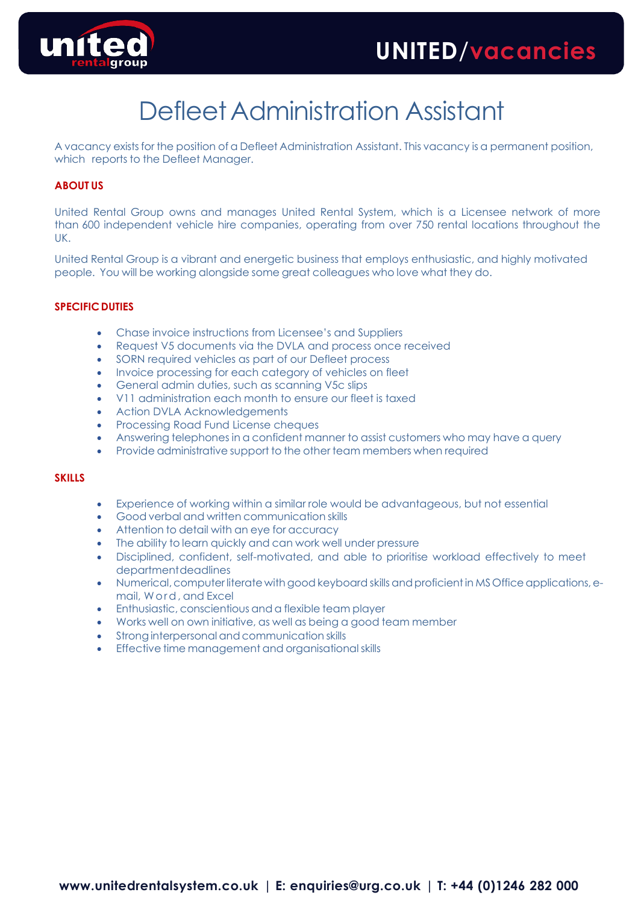

# Defleet Administration Assistant

A vacancy exists for the position of a Defleet Administration Assistant. This vacancy is a permanent position, which reports to the Defleet Manager.

## **ABOUT US**

United Rental Group owns and manages United Rental System, which is a Licensee network of more than 600 independent vehicle hire companies, operating from over 750 rental locations throughout the UK.

United Rental Group is a vibrant and energetic business that employs enthusiastic, and highly motivated people. You will be working alongside some great colleagues who love what they do.

## **SPECIFICDUTIES**

- Chase invoice instructions from Licensee's and Suppliers
- Request V5 documents via the DVLA and process once received
- SORN required vehicles as part of our Defleet process
- Invoice processing for each category of vehicles on fleet
- General admin duties, such as scanning V5c slips
- V11 administration each month to ensure our fleet is taxed
- Action DVLA Acknowledgements
- Processing Road Fund License cheques
- Answering telephones in a confident manner to assist customers who may have a query
- Provide administrative support to the other team members when required

### **SKILLS**

- Experience of working within a similar role would be advantageous, but not essential
- Good verbal and written communication skills
- Attention to detail with an eye for accuracy
- The ability to learn quickly and can work well under pressure
- Disciplined, confident, self-motivated, and able to prioritise workload effectively to meet departmentdeadlines
- Numerical, computer literate with good keyboard skills and proficient in MS Office applications, email, W ord, and Excel
- Enthusiastic, conscientious and a flexible team player
- Works well on own initiative, as well as being a good team member
- Strong interpersonal and communication skills
- Effective time management and organisationalskills